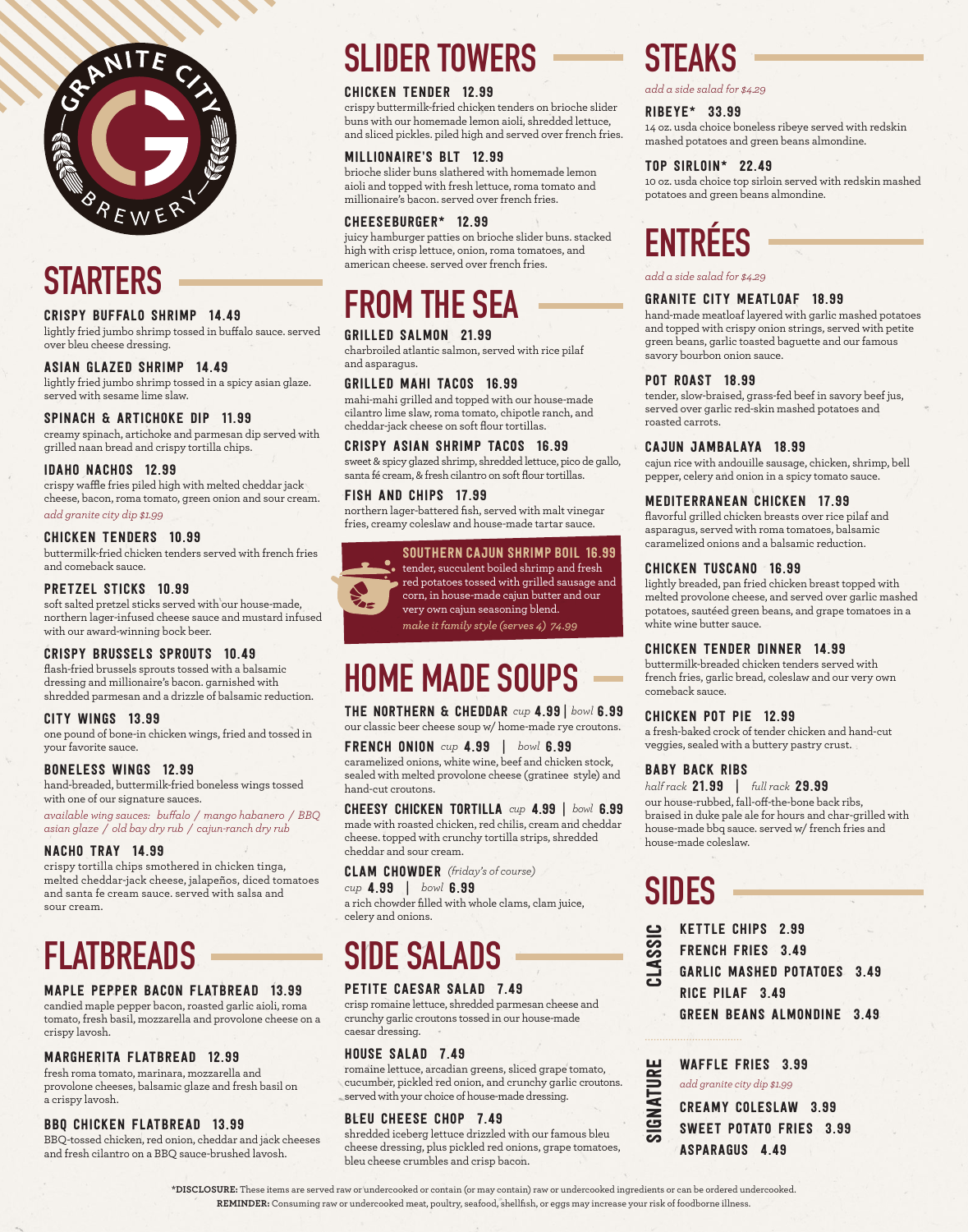

### **STARTERS**

#### CRISPY BUFFALO SHRIMP 14.49

lightly fried jumbo shrimp tossed in buffalo sauce. served over bleu cheese dressing.

#### ASIAN GLAZED SHRIMP 14.49

lightly fried jumbo shrimp tossed in a spicy asian glaze. served with sesame lime slaw.

#### SPINACH & ARTICHOKE DIP 11.99

creamy spinach, artichoke and parmesan dip served with grilled naan bread and crispy tortilla chips.

#### IDAHO NACHOS 12.99

crispy waffle fries piled high with melted cheddar jack cheese, bacon, roma tomato, green onion and sour cream. *add granite city dip \$1.99*

#### CHICKEN TENDERS 10.99

buttermilk-fried chicken tenders served with french fries and comeback sauce.

#### PRETZEL STICKS 10.99

soft salted pretzel sticks served with our house-made, northern lager-infused cheese sauce and mustard infused with our award-winning bock beer.

#### CRISPY BRUSSELS SPROUTS 10.49

flash-fried brussels sprouts tossed with a balsamic dressing and millionaire's bacon. garnished with shredded parmesan and a drizzle of balsamic reduction.

#### CITY WINGS 13.99

one pound of bone-in chicken wings, fried and tossed in your favorite sauce.

#### BONELESS WINGS 12.99

hand-breaded, buttermilk-fried boneless wings tossed with one of our signature sauces.

*available wing sauces: buffalo / mango habanero / BBQ asian glaze / old bay dry rub / cajun-ranch dry rub*

#### NACHO TRAY 14.99

crispy tortilla chips smothered in chicken tinga, melted cheddar-jack cheese, jalapeños, diced tomatoes and santa fe cream sauce. served with salsa and sour cream.

### **FLATBREADS**

#### MAPLE PEPPER BACON FLATBREAD 13.99

candied maple pepper bacon, roasted garlic aioli, roma tomato, fresh basil, mozzarella and provolone cheese on a crispy lavosh.

#### MARGHERITA FLATBREAD 12.99

fresh roma tomato, marinara, mozzarella and provolone cheeses, balsamic glaze and fresh basil on a crispy lavosh.

#### BBQ CHICKEN FLATBREAD 13.99

BBQ-tossed chicken, red onion, cheddar and jack cheeses and fresh cilantro on a BBQ sauce-brushed lavosh.

### **SLIDER TOWERS**

#### CHICKEN TENDER 12.99

crispy buttermilk-fried chicken tenders on brioche slider buns with our homemade lemon aioli, shredded lettuce, and sliced pickles. piled high and served over french fries.

#### MILLIONAIRE'S BLT 12.99

brioche slider buns slathered with homemade lemon aioli and topped with fresh lettuce, roma tomato and millionaire's bacon. served over french fries.

#### CHEESEBURGER\* 12.99

juicy hamburger patties on brioche slider buns. stacked high with crisp lettuce, onion, roma tomatoes, and american cheese. served over french fries.

### **FROM THE SEA**

#### GRILLED SALMON 21.99

charbroiled atlantic salmon, served with rice pilaf and asparagus.

#### GRILLED MAHI TACOS 16.99

mahi-mahi grilled and topped with our house-made cilantro lime slaw, roma tomato, chipotle ranch, and cheddar-jack cheese on soft flour tortillas.

#### CRISPY ASIAN SHRIMP TACOS 16.99

sweet & spicy glazed shrimp, shredded lettuce, pico de gallo, santa fé cream, & fresh cilantro on soft flour tortillas.

#### FISH AND CHIPS 17.99 northern lager-battered fish, served with malt vinegar fries, creamy coleslaw and house-made tartar sauce.

#### SOUTHERN CAJUN SHRIMP BOIL 16.99



tender, succulent boiled shrimp and fresh red potatoes tossed with grilled sausage and corn, in house-made cajun butter and our very own cajun seasoning blend.

*make it family style (serves 4) 74.99*

### **HOME MADE SOUPS**

THE NORTHERN & CHEDDAR *cup* 4.99 | *bowl* 6.99 our classic beer cheese soup w/ home-made rye croutons.

#### FRENCH ONION *cup* 4.99 | *bowl* 6.99 caramelized onions, white wine, beef and chicken stock, sealed with melted provolone cheese (gratinee style) and hand-cut croutons.

CHEESY CHICKEN TORTILLA *cup* 4.99 | *bowl* 6.99 made with roasted chicken, red chilis, cream and cheddar cheese. topped with crunchy tortilla strips, shredded cheddar and sour cream.

#### CLAM CHOWDER *(friday's of course)*

#### *cup* 4.99 | *bowl* 6.99

a rich chowder filled with whole clams, clam juice, celery and onions.

### **SIDE SALADS**

#### PETITE CAESAR SALAD 7.49

crisp romaine lettuce, shredded parmesan cheese and crunchy garlic croutons tossed in our house-made caesar dressing.

#### HOUSE SALAD 7.49

romaine lettuce, arcadian greens, sliced grape tomato, cucumber, pickled red onion, and crunchy garlic croutons. served with your choice of house-made dressing.

#### BLEU CHEESE CHOP 7.49

shredded iceberg lettuce drizzled with our famous bleu cheese dressing, plus pickled red onions, grape tomatoes, bleu cheese crumbles and crisp bacon.

### **STEAKS**

*add a side salad for \$4.29*

#### RIBEYE\* 33.99

14 oz. usda choice boneless ribeye served with redskin mashed potatoes and green beans almondine.

#### TOP SIRLOIN\* 22.49

10 oz. usda choice top sirloin served with redskin mashed potatoes and green beans almondine.

# **ENTRÉES**

*add a side salad for \$4.29*

#### GRANITE CITY MEATLOAF 18.99

hand-made meatloaf layered with garlic mashed potatoes and topped with crispy onion strings, served with petite green beans, garlic toasted baguette and our famous savory bourbon onion sauce.

#### POT ROAST 18.99

tender, slow-braised, grass-fed beef in savory beef jus, served over garlic red-skin mashed potatoes and roasted carrots.

#### CAJUN JAMBALAYA 18.99

cajun rice with andouille sausage, chicken, shrimp, bell pepper, celery and onion in a spicy tomato sauce.

#### MEDITERRANEAN CHICKEN 17.99

flavorful grilled chicken breasts over rice pilaf and asparagus, served with roma tomatoes, balsamic caramelized onions and a balsamic reduction.

#### CHICKEN TUSCANO 16.99

lightly breaded, pan fried chicken breast topped with melted provolone cheese, and served over garlic mashed potatoes, sautéed green beans, and grape tomatoes in a white wine butter sauce.

#### CHICKEN TENDER DINNER 14.99

buttermilk-breaded chicken tenders served with french fries, garlic bread, coleslaw and our very own comeback sauce.

#### CHICKEN POT PIE 12.99

a fresh-baked crock of tender chicken and hand-cut veggies, sealed with a buttery pastry crust.

#### BABY BACK RIBS

*half rack* 21.99 | *full rack* 29.99 our house-rubbed, fall-off-the-bone back ribs, braised in duke pale ale for hours and char-grilled with house-made bbq sauce. served w/ french fries and house-made coleslaw.

## **SIDES**

KETTLE CHIPS 2.99 FRENCH FRIES 3.49 GARLIC MASHED POTATOES 3.49 RICE PILAF 3.49 GREEN BEANS ALMONDINE 3.49 CLASSIC

|                                        | <b>WAFFLE FRIES 3.99</b>       |
|----------------------------------------|--------------------------------|
| NATURE<br>$\overline{\mathbf{G}}$<br>ದ | add granite city dip \$1.99    |
|                                        | <b>CREAMY COLESLAW 3.99</b>    |
|                                        | <b>SWEET POTATO FRIES 3.99</b> |
|                                        | ASPARAGUS 4.49                 |

**\*DISCLOSURE:** These items are served raw or undercooked or contain (or may contain) raw or undercooked ingredients or can be ordered undercooked. **REMINDER:** Consuming raw or undercooked meat, poultry, seafood, shellfish, or eggs may increase your risk of foodborne illness.